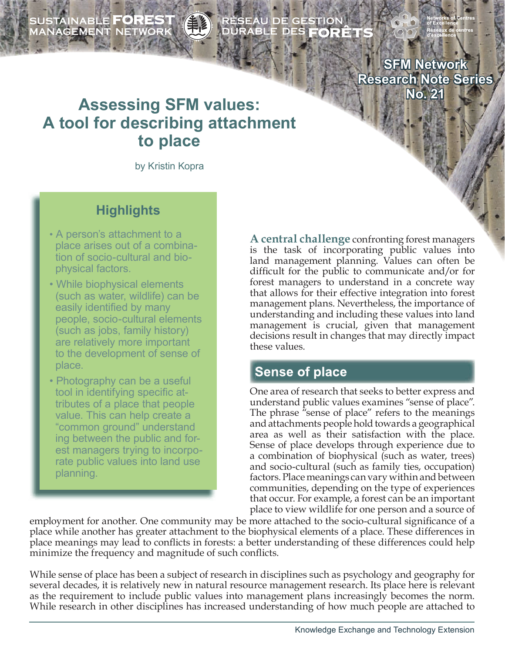SUSTAINABLE **FOREST**<br>MANAGEMENT NETWORK

RÉSEAU DE GESTION<br>DURABLE DES **FORÊT** 

**SFM Network Research Note Series No. 21**

# **Assessing SFM values: A tool for describing attachment to place**

by Kristin Kopra

## **Highlights**

- A person's attachment to a place arises out of a combina tion of socio-cultural and bio physical factors.
- While biophysical elements (such as water, wildlife) can be easily identified by many people, socio-cultural elements (such as jobs, family history) are relatively more important to the development of sense of place.
- Photography can be a useful tool in identifying specific at tributes of a place that people value. This can help create a "common ground" understand ing between the public and for est managers trying to incorpo rate public values into land use planning.

**A central challenge** confronting forest managers is the task of incorporating public values into land management planning. Values can often be difficult for the public to communicate and/or for forest managers to understand in a concrete way that allows for their effective integration into forest management plans. Nevertheless, the importance of understanding and including these values into land management is crucial, given that management decisions result in changes that may directly impact these values.

### **Sense of place**

One area of research that seeks to better express and understand public values examines "sense of place". The phrase "sense of place" refers to the meanings and attachments people hold towards a geographical area as well as their satisfaction with the place. Sense of place develops through experience due to a combination of biophysical (such as water, trees) and socio-cultural (such as family ties, occupation) factors. Place meanings can vary within and between communities, depending on the type of experiences that occur. For example, a forest can be an important place to view wildlife for one person and a source of

employment for another. One community may be more attached to the socio-cultural significance of a place while another has greater attachment to the biophysical elements of a place. These differences in place meanings may lead to conflicts in forests: a better understanding of these differences could help minimize the frequency and magnitude of such conflicts.

While sense of place has been a subject of research in disciplines such as psychology and geography for several decades, it is relatively new in natural resource management research. Its place here is relevant as the requirement to include public values into management plans increasingly becomes the norm. While research in other disciplines has increased understanding of how much people are attached to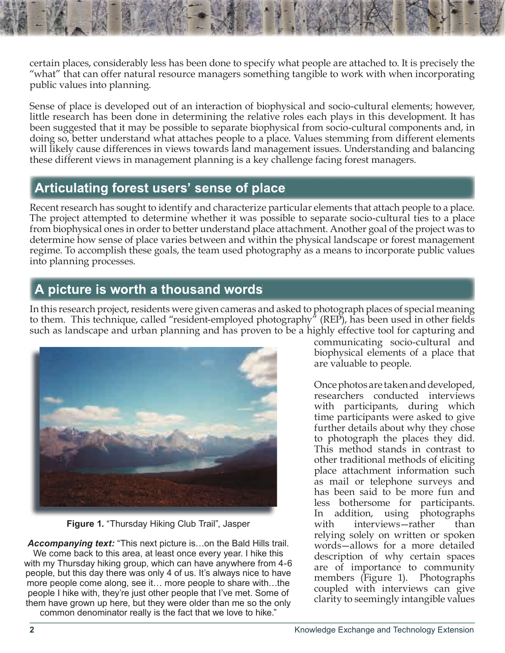certain places, considerably less has been done to specify what people are attached to. It is precisely the "what" that can offer natural resource managers something tangible to work with when incorporating public values into planning.

Sense of place is developed out of an interaction of biophysical and socio-cultural elements; however, little research has been done in determining the relative roles each plays in this development. It has been suggested that it may be possible to separate biophysical from socio-cultural components and, in doing so, better understand what attaches people to a place. Values stemming from different elements will likely cause differences in views towards land management issues. Understanding and balancing these different views in management planning is a key challenge facing forest managers.

### **Articulating forest users' sense of place**

Recent research has sought to identify and characterize particular elements that attach people to a place. The project attempted to determine whether it was possible to separate socio-cultural ties to a place from biophysical ones in order to better understand place attachment. Another goal of the project was to determine how sense of place varies between and within the physical landscape or forest management regime. To accomplish these goals, the team used photography as a means to incorporate public values into planning processes.

## **A picture is worth a thousand words**

In this research project, residents were given cameras and asked to photograph places of special meaning to them. This technique, called "resident-employed photography" (REP), has been used in other fields such as landscape and urban planning and has proven to be a highly effective tool for capturing and



**Figure 1.** "Thursday Hiking Club Trail", Jasper

*Accompanying text:* "This next picture is…on the Bald Hills trail. We come back to this area, at least once every year. I hike this with my Thursday hiking group, which can have anywhere from 4-6 people, but this day there was only 4 of us. It's always nice to have more people come along, see it… more people to share with…the people I hike with, they're just other people that I've met. Some of them have grown up here, but they were older than me so the only common denominator really is the fact that we love to hike."

communicating socio-cultural and biophysical elements of a place that are valuable to people.

Once photos are taken and developed, researchers conducted interviews with participants, during which time participants were asked to give further details about why they chose to photograph the places they did. This method stands in contrast to other traditional methods of eliciting place attachment information such as mail or telephone surveys and has been said to be more fun and less bothersome for participants. In addition, using photographs with interviews—rather than relying solely on written or spoken words—allows for a more detailed description of why certain spaces are of importance to community members (Figure 1). Photographs coupled with interviews can give clarity to seemingly intangible values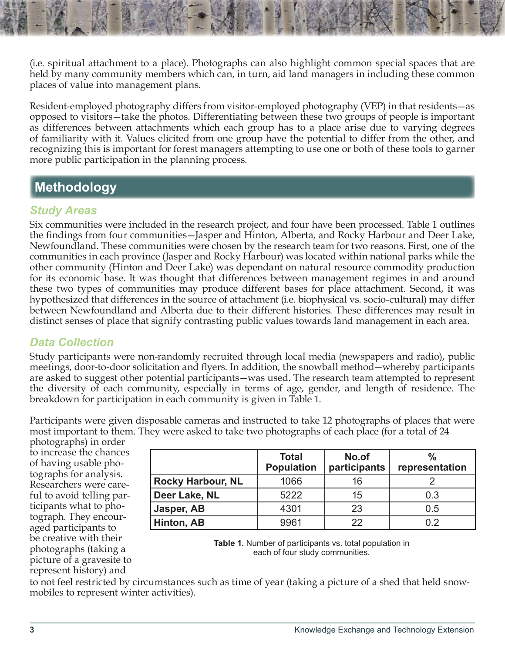(i.e. spiritual attachment to a place). Photographs can also highlight common special spaces that are held by many community members which can, in turn, aid land managers in including these common places of value into management plans.

Resident-employed photography differs from visitor-employed photography (VEP) in that residents—as opposed to visitors—take the photos. Differentiating between these two groups of people is important as differences between attachments which each group has to a place arise due to varying degrees of familiarity with it. Values elicited from one group have the potential to differ from the other, and recognizing this is important for forest managers attempting to use one or both of these tools to garner more public participation in the planning process.

## **Methodology**

### *Study Areas*

Six communities were included in the research project, and four have been processed. Table 1 outlines the findings from four communities—Jasper and Hinton, Alberta, and Rocky Harbour and Deer Lake, Newfoundland. These communities were chosen by the research team for two reasons. First, one of the communities in each province (Jasper and Rocky Harbour) was located within national parks while the other community (Hinton and Deer Lake) was dependant on natural resource commodity production for its economic base. It was thought that differences between management regimes in and around these two types of communities may produce different bases for place attachment. Second, it was hypothesized that differences in the source of attachment (i.e. biophysical vs. socio-cultural) may differ between Newfoundland and Alberta due to their different histories. These differences may result in distinct senses of place that signify contrasting public values towards land management in each area.

### *Data Collection*

Study participants were non-randomly recruited through local media (newspapers and radio), public meetings, door-to-door solicitation and flyers. In addition, the snowball method—whereby participants are asked to suggest other potential participants—was used. The research team attempted to represent the diversity of each community, especially in terms of age, gender, and length of residence. The breakdown for participation in each community is given in Table 1.

Participants were given disposable cameras and instructed to take 12 photographs of places that were most important to them. They were asked to take two photographs of each place (for a total of 24

photographs) in order to increase the chances of having usable photographs for analysis. Researchers were careful to avoid telling participants what to photograph. They encouraged participants to be creative with their photographs (taking a picture of a gravesite to represent history) and

|                          | <b>Total</b><br><b>Population</b> | No.of<br>participants | $\frac{0}{0}$<br>representation |
|--------------------------|-----------------------------------|-----------------------|---------------------------------|
| <b>Rocky Harbour, NL</b> | 1066                              | 16                    |                                 |
| Deer Lake, NL            | 5222                              | 15                    | 0.3                             |
| Jasper, AB               | 4301                              | 23                    | 0.5                             |
| Hinton, AB               | 9961                              | つつ                    | በ 2                             |



to not feel restricted by circumstances such as time of year (taking a picture of a shed that held snowmobiles to represent winter activities).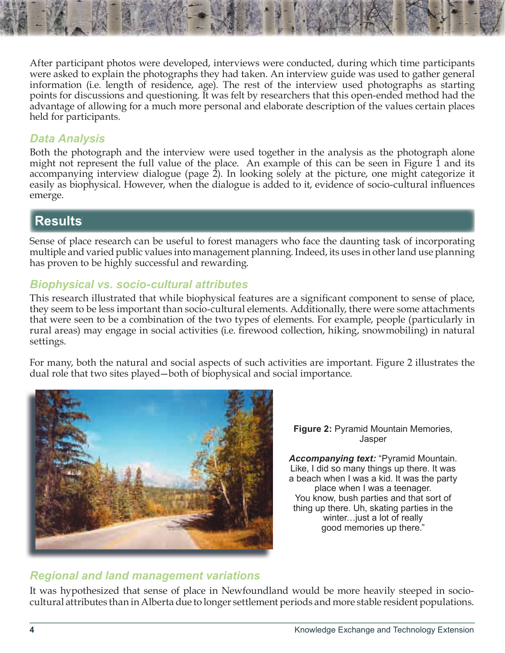After participant photos were developed, interviews were conducted, during which time participants were asked to explain the photographs they had taken. An interview guide was used to gather general information (i.e. length of residence, age). The rest of the interview used photographs as starting points for discussions and questioning. It was felt by researchers that this open-ended method had the advantage of allowing for a much more personal and elaborate description of the values certain places held for participants.

#### *Data Analysis*

Both the photograph and the interview were used together in the analysis as the photograph alone might not represent the full value of the place. An example of this can be seen in Figure 1 and its accompanying interview dialogue (page 2). In looking solely at the picture, one might categorize it easily as biophysical. However, when the dialogue is added to it, evidence of socio-cultural influences emerge.

## **Results**

Sense of place research can be useful to forest managers who face the daunting task of incorporating multiple and varied public values into management planning. Indeed, its uses in other land use planning has proven to be highly successful and rewarding.

### *Biophysical vs. socio-cultural attributes*

This research illustrated that while biophysical features are a significant component to sense of place, they seem to be less important than socio-cultural elements. Additionally, there were some attachments that were seen to be a combination of the two types of elements. For example, people (particularly in rural areas) may engage in social activities (i.e. firewood collection, hiking, snowmobiling) in natural settings.

For many, both the natural and social aspects of such activities are important. Figure 2 illustrates the dual role that two sites played—both of biophysical and social importance.



**Figure 2:** Pyramid Mountain Memories, Jasper

*Accompanying text:* "Pyramid Mountain. Like, I did so many things up there. It was a beach when I was a kid. It was the party place when I was a teenager. You know, bush parties and that sort of thing up there. Uh, skating parties in the winter…just a lot of really good memories up there."

#### *Regional and land management variations*

It was hypothesized that sense of place in Newfoundland would be more heavily steeped in sociocultural attributes than in Alberta due to longer settlement periods and more stable resident populations.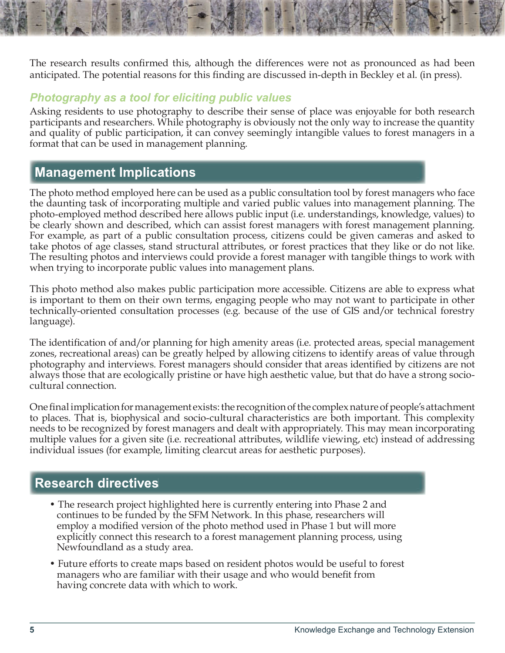The research results confirmed this, although the differences were not as pronounced as had been anticipated. The potential reasons for this finding are discussed in-depth in Beckley et al. (in press).

#### *Photography as a tool for eliciting public values*

Asking residents to use photography to describe their sense of place was enjoyable for both research participants and researchers. While photography is obviously not the only way to increase the quantity and quality of public participation, it can convey seemingly intangible values to forest managers in a format that can be used in management planning.

### **Management Implications**

The photo method employed here can be used as a public consultation tool by forest managers who face the daunting task of incorporating multiple and varied public values into management planning. The photo-employed method described here allows public input (i.e. understandings, knowledge, values) to be clearly shown and described, which can assist forest managers with forest management planning. For example, as part of a public consultation process, citizens could be given cameras and asked to take photos of age classes, stand structural attributes, or forest practices that they like or do not like. The resulting photos and interviews could provide a forest manager with tangible things to work with when trying to incorporate public values into management plans.

This photo method also makes public participation more accessible. Citizens are able to express what is important to them on their own terms, engaging people who may not want to participate in other technically-oriented consultation processes (e.g. because of the use of GIS and/or technical forestry language).

The identification of and/or planning for high amenity areas (i.e. protected areas, special management zones, recreational areas) can be greatly helped by allowing citizens to identify areas of value through photography and interviews. Forest managers should consider that areas identified by citizens are not always those that are ecologically pristine or have high aesthetic value, but that do have a strong sociocultural connection.

One final implication for management exists: the recognition of the complex nature of people's attachment to places. That is, biophysical and socio-cultural characteristics are both important. This complexity needs to be recognized by forest managers and dealt with appropriately. This may mean incorporating multiple values for a given site (i.e. recreational attributes, wildlife viewing, etc) instead of addressing individual issues (for example, limiting clearcut areas for aesthetic purposes).

### **Research directives**

- The research project highlighted here is currently entering into Phase 2 and continues to be funded by the SFM Network. In this phase, researchers will employ a modified version of the photo method used in Phase 1 but will more explicitly connect this research to a forest management planning process, using Newfoundland as a study area.
- Future efforts to create maps based on resident photos would be useful to forest managers who are familiar with their usage and who would benefit from having concrete data with which to work.